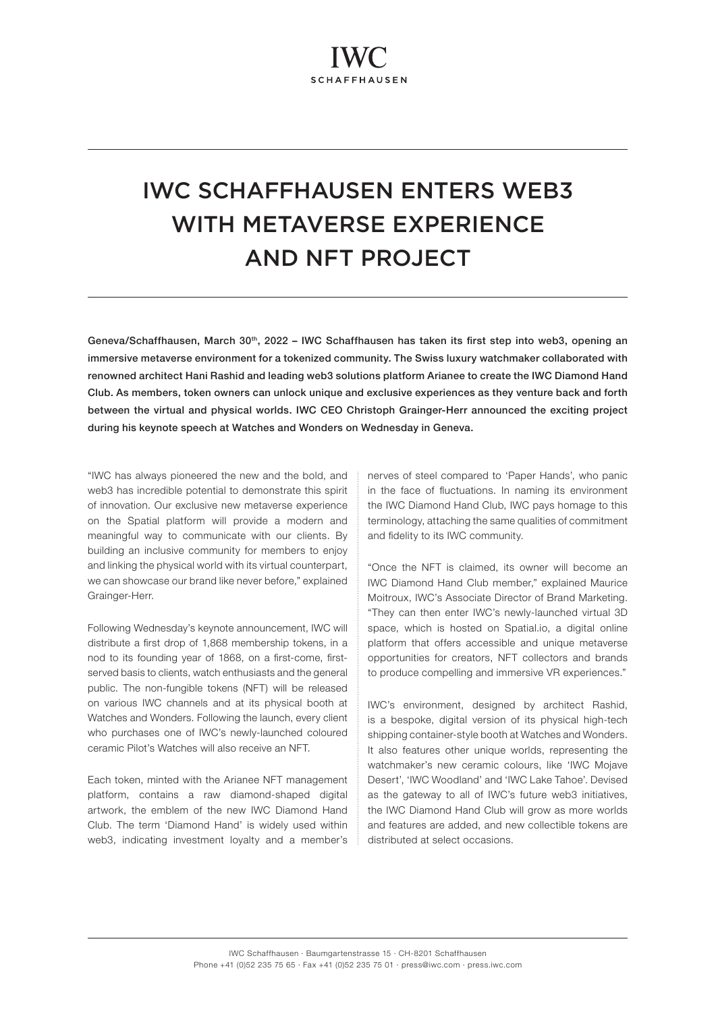## IWC SCHAFFHAUSEN ENTERS WEB3 WITH METAVERSE EXPERIENCE AND NFT PROJECT

Geneva/Schaffhausen, March 30th, 2022 – IWC Schaffhausen has taken its first step into web3, opening an immersive metaverse environment for a tokenized community. The Swiss luxury watchmaker collaborated with renowned architect Hani Rashid and leading web3 solutions platform Arianee to create the IWC Diamond Hand Club. As members, token owners can unlock unique and exclusive experiences as they venture back and forth between the virtual and physical worlds. IWC CEO Christoph Grainger-Herr announced the exciting project during his keynote speech at Watches and Wonders on Wednesday in Geneva.

"IWC has always pioneered the new and the bold, and web3 has incredible potential to demonstrate this spirit of innovation. Our exclusive new metaverse experience on the Spatial platform will provide a modern and meaningful way to communicate with our clients. By building an inclusive community for members to enjoy and linking the physical world with its virtual counterpart, we can showcase our brand like never before," explained Grainger-Herr.

Following Wednesday's keynote announcement, IWC will distribute a first drop of 1,868 membership tokens, in a nod to its founding year of 1868, on a first-come, firstserved basis to clients, watch enthusiasts and the general public. The non-fungible tokens (NFT) will be released on various IWC channels and at its physical booth at Watches and Wonders. Following the launch, every client who purchases one of IWC's newly-launched coloured ceramic Pilot's Watches will also receive an NFT.

Each token, minted with the Arianee NFT management platform, contains a raw diamond-shaped digital artwork, the emblem of the new IWC Diamond Hand Club. The term 'Diamond Hand' is widely used within web3, indicating investment loyalty and a member's nerves of steel compared to 'Paper Hands', who panic in the face of fluctuations. In naming its environment the IWC Diamond Hand Club, IWC pays homage to this terminology, attaching the same qualities of commitment and fidelity to its IWC community.

"Once the NFT is claimed, its owner will become an IWC Diamond Hand Club member," explained Maurice Moitroux, IWC's Associate Director of Brand Marketing. "They can then enter IWC's newly-launched virtual 3D space, which is hosted on Spatial.io, a digital online platform that offers accessible and unique metaverse opportunities for creators, NFT collectors and brands to produce compelling and immersive VR experiences."

IWC's environment, designed by architect Rashid, is a bespoke, digital version of its physical high-tech shipping container-style booth at Watches and Wonders. It also features other unique worlds, representing the watchmaker's new ceramic colours, like 'IWC Mojave Desert', 'IWC Woodland' and 'IWC Lake Tahoe'. Devised as the gateway to all of IWC's future web3 initiatives, the IWC Diamond Hand Club will grow as more worlds and features are added, and new collectible tokens are distributed at select occasions.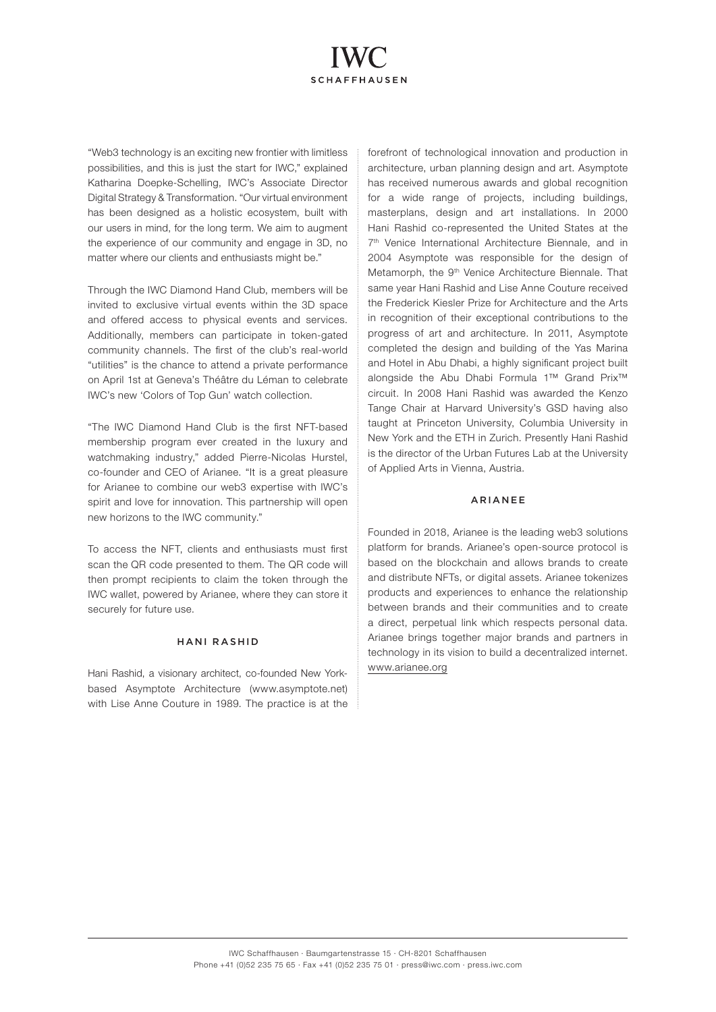# **SCHAFFHAUSEN**

"Web3 technology is an exciting new frontier with limitless possibilities, and this is just the start for IWC," explained Katharina Doepke-Schelling, IWC's Associate Director Digital Strategy & Transformation. "Our virtual environment has been designed as a holistic ecosystem, built with our users in mind, for the long term. We aim to augment the experience of our community and engage in 3D, no matter where our clients and enthusiasts might be."

Through the IWC Diamond Hand Club, members will be invited to exclusive virtual events within the 3D space and offered access to physical events and services. Additionally, members can participate in token-gated community channels. The first of the club's real-world "utilities" is the chance to attend a private performance on April 1st at Geneva's Théâtre du Léman to celebrate IWC's new 'Colors of Top Gun' watch collection.

"The IWC Diamond Hand Club is the first NFT-based membership program ever created in the luxury and watchmaking industry," added Pierre-Nicolas Hurstel, co-founder and CEO of Arianee. "It is a great pleasure for Arianee to combine our web3 expertise with IWC's spirit and love for innovation. This partnership will open new horizons to the IWC community."

To access the NFT, clients and enthusiasts must first scan the QR code presented to them. The QR code will then prompt recipients to claim the token through the IWC wallet, powered by Arianee, where they can store it securely for future use.

#### HANI RASHID

Hani Rashid, a visionary architect, co-founded New Yorkbased Asymptote Architecture (www.asymptote.net) with Lise Anne Couture in 1989. The practice is at the forefront of technological innovation and production in architecture, urban planning design and art. Asymptote has received numerous awards and global recognition for a wide range of projects, including buildings, masterplans, design and art installations. In 2000 Hani Rashid co-represented the United States at the 7<sup>th</sup> Venice International Architecture Biennale, and in 2004 Asymptote was responsible for the design of Metamorph, the 9<sup>th</sup> Venice Architecture Biennale. That same year Hani Rashid and Lise Anne Couture received the Frederick Kiesler Prize for Architecture and the Arts in recognition of their exceptional contributions to the progress of art and architecture. In 2011, Asymptote completed the design and building of the Yas Marina and Hotel in Abu Dhabi, a highly significant project built alongside the Abu Dhabi Formula 1™ Grand Prix™ circuit. In 2008 Hani Rashid was awarded the Kenzo Tange Chair at Harvard University's GSD having also taught at Princeton University, Columbia University in New York and the ETH in Zurich. Presently Hani Rashid is the director of the Urban Futures Lab at the University of Applied Arts in Vienna, Austria.

#### ARIANEE

Founded in 2018, Arianee is the leading web3 solutions platform for brands. Arianee's open-source protocol is based on the blockchain and allows brands to create and distribute NFTs, or digital assets. Arianee tokenizes products and experiences to enhance the relationship between brands and their communities and to create a direct, perpetual link which respects personal data. Arianee brings together major brands and partners in technology in its vision to build a decentralized internet. [www.arianee.org](https://www.arianee.org/)